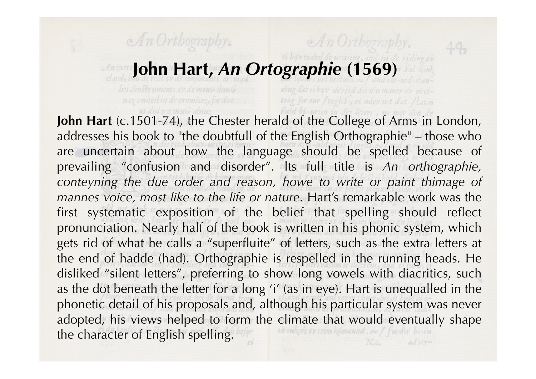## **John Hart,** *An Ortographie* **(1569)**

An Orthography.

ding dat ei hav devizd dis niu maner ov ureiting for our /inglis, ei mien not dat /latin

An Orthography.

uaz omited in de premisez, for dat store

John Hart (c.1501-74), the Chester herald of the College of Arms in London, addresses his book to "the doubtfull of the English Orthographie" – those who are uncertain about how the language should be spelled because of prevailing "confusion and disorder". lts full title is *An orthographie, conteyning the due order and reason, howe to write or paint thimage of mannes voice, most like to the life or nature*. Hart's remarkable work was the first systematic exposition of the belief that spelling should reflect pronunciation. Nearly half of the book is written in his phonic system, which gets rid of what he calls a "superfluite" of letters, such as the extra letters at the end of hadde (had). Orthographie is respelled in the running heads. He disliked "silent letters", preferring to show long vowels with diacritics, such as the dot beneath the letter for a long 'i' (as in eye). Hart is unequalled in the phonetic detail of his proposals and, although his particular system was never adopted, his views helped to form the climate that would eventually shape the character of English spelling. Adver-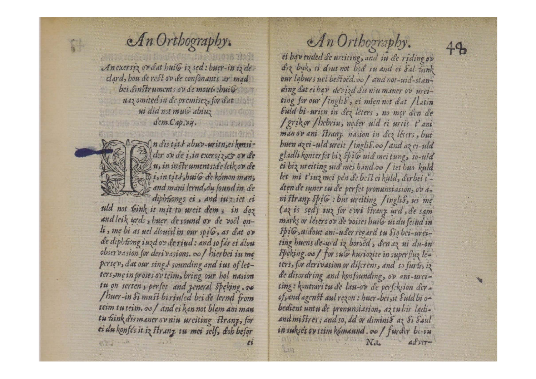

An exersiz or dat hui G iz sed: huer-in iz declard, hou de rest on de consonants ar mad bei dinstruments ov de mouts : buils uaz omited in de premisez, for dat ui did not muG abiuz  $dcm.Cap.vq.$ 



n dis tits abuv-uritn, ei konsider ov de i, in exersiz, & or de u, in instruments: de leik ov de Disintits, buile de komon man; and mani lernd, du sound in de

uld not fink it mit to ureit dem, in doz and leik urds, huer de sound ov de voël onli, me bi as uel doued in our spile, as dat or de diphtiong iuzd ov de riud: and so far ei alou observasion for derivasions. o hierbei iu me persev, dat our sings sounding and ius of letters, me in proses ov teim, bring our hol nasion tu on serten, perfet and zeneral speking. co /huer-in Simust biriuled beide lernd from teim tu teim. o / and ei kan not blam ani man tu fink dismaner ovniu urciting Stranz, for ei du konfes it iz stranz tu mei self, doh befor 6、 一、  $\mathfrak{c}$ 

An Orthography. ei havended de urciting, and in de riding ov diz biek, et dout not bod in and ei Sal teink our laburs uel bestoed.co / and not-uid-standing dat ei hav devizd dis niu maner ov ureiting for our / inglis, ei mien not dat / latin Suld bi-uritn in dez leters, no mor den de / grikor / hebriu, neder uld ei urcit t'ani man ov ani Stranz nasion in dez leters, but buen azei-uld ureit / inglis.co/ and azei-uld gladli konterfet hiz spiG uid mei tung, so-uld ei hiz ureiting uid mei hand.co / iet huo kuld let mi t'iuz mei pen de best ei kald, derbei taten de suner tu de perfet pronunsiasion, ovani stranz spiG : but urciting /inglis, ui me (az is sed) iuz for cwi stranz urd, de sam marks or leters ov de voises buils ui du feind in Spis midout ani-uder regard tu Sio bei-ureiting buens de-wid iz boroed, den az ui du-in speking. o / for suG kuriozite in superfluz leters, for derivasion or diferent, and so furts, iz de disordring and konfounding, ov ani-urciting: kontraritu de lau-ov de perfeksion derof, and agenst aul rezon : huer-bei, it Suld bi obedient untu de pronunsiasion, az tu hir ladiand mistres : and so, dd or diminis az Si Saul in sukse's ov teim komannd. oo / furder bi-iu  $N_{\cdot L}$  $\frac{d}{dx}$ LAN